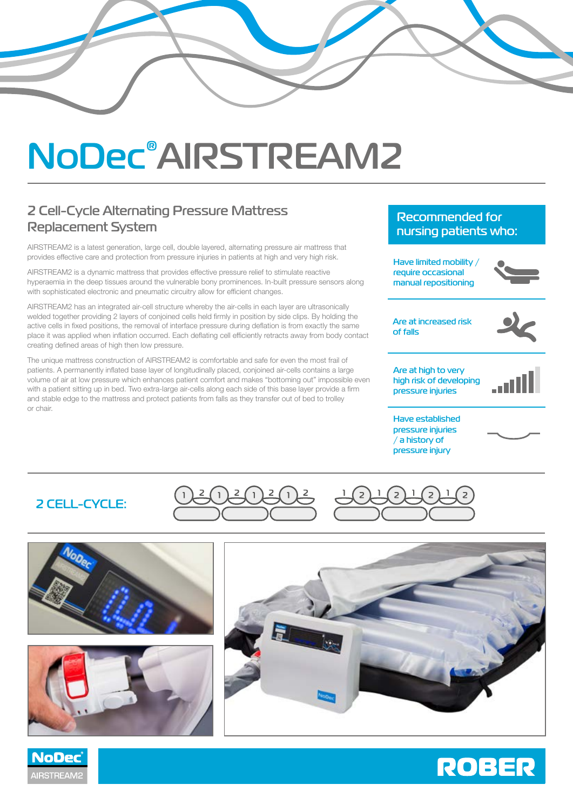# **NoDec® AIRSTREAM2**

# **2 Cell-Cycle Alternating Pressure Mattress Replacement System**

AIRSTREAM2 is a latest generation, large cell, double layered, alternating pressure air mattress that provides effective care and protection from pressure injuries in patients at high and very high risk.

AIRSTREAM2 is a dynamic mattress that provides effective pressure relief to stimulate reactive hyperaemia in the deep tissues around the vulnerable bony prominences. In-built pressure sensors along with sophisticated electronic and pneumatic circuitry allow for efficient changes.

AIRSTREAM2 has an integrated air-cell structure whereby the air-cells in each layer are ultrasonically welded together providing 2 layers of conjoined cells held firmly in position by side clips. By holding the active cells in fixed positions, the removal of interface pressure during deflation is from exactly the same place it was applied when inflation occurred. Each deflating cell efficiently retracts away from body contact creating defined areas of high then low pressure.

The unique mattress construction of AIRSTREAM2 is comfortable and safe for even the most frail of patients. A permanently inflated base layer of longitudinally placed, conjoined air-cells contains a large volume of air at low pressure which enhances patient comfort and makes "bottoming out" impossible even with a patient sitting up in bed. Two extra-large air-cells along each side of this base layer provide a firm and stable edge to the mattress and protect patients from falls as they transfer out of bed to trolley or chair.

## **Recommended for nursing patients who:**

**Have limited mobility / require occasional manual repositioning**



**Are at increased risk of falls**



**Are at high to very high risk of developing pressure injuries**



**Have established pressure injuries / a history of pressure injury**

## **2 CELL-CYCLE:**